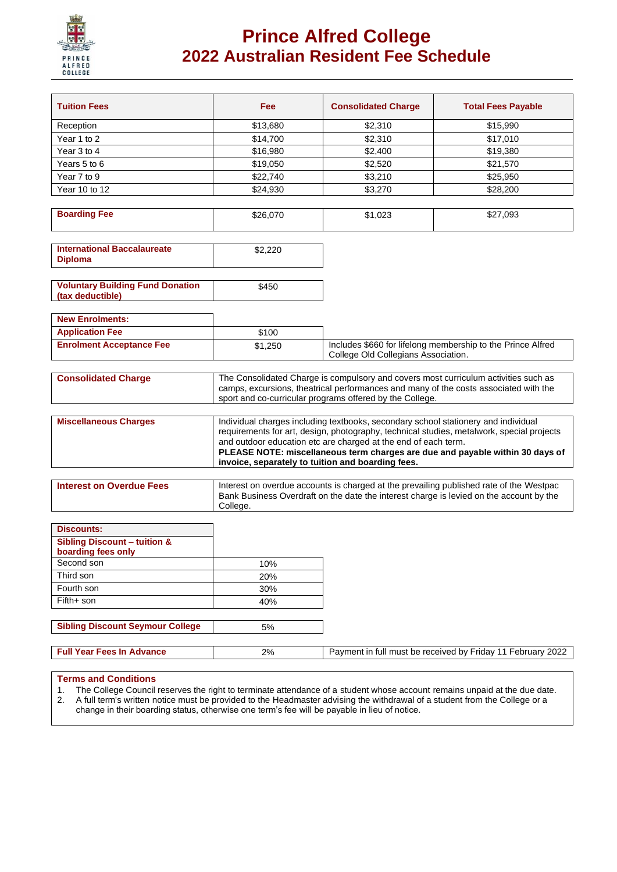

# **Prince Alfred College 2022 Australian Resident Fee Schedule**

| <b>Tuition Fees</b>                                           | Fee                                                                                                                                                                                                                                                                                                                                                                                     | <b>Consolidated Charge</b>          | <b>Total Fees Payable</b>                                   |  |
|---------------------------------------------------------------|-----------------------------------------------------------------------------------------------------------------------------------------------------------------------------------------------------------------------------------------------------------------------------------------------------------------------------------------------------------------------------------------|-------------------------------------|-------------------------------------------------------------|--|
| Reception                                                     | \$13,680                                                                                                                                                                                                                                                                                                                                                                                | \$2,310                             | \$15,990                                                    |  |
| Year 1 to 2                                                   | \$14,700                                                                                                                                                                                                                                                                                                                                                                                | \$2,310                             | \$17,010                                                    |  |
| Year 3 to 4                                                   | \$16,980                                                                                                                                                                                                                                                                                                                                                                                | \$2,400                             | \$19,380                                                    |  |
| Years 5 to 6                                                  | \$19,050                                                                                                                                                                                                                                                                                                                                                                                | \$2,520                             | \$21,570                                                    |  |
| Year 7 to 9                                                   | \$22,740                                                                                                                                                                                                                                                                                                                                                                                | \$3,210                             | \$25,950                                                    |  |
| Year 10 to 12                                                 | \$24,930                                                                                                                                                                                                                                                                                                                                                                                | \$3,270                             | \$28,200                                                    |  |
|                                                               |                                                                                                                                                                                                                                                                                                                                                                                         |                                     |                                                             |  |
| <b>Boarding Fee</b>                                           | \$26,070                                                                                                                                                                                                                                                                                                                                                                                | \$1,023                             | \$27,093                                                    |  |
| <b>International Baccalaureate</b><br><b>Diploma</b>          | \$2,220                                                                                                                                                                                                                                                                                                                                                                                 |                                     |                                                             |  |
| <b>Voluntary Building Fund Donation</b><br>(tax deductible)   | \$450                                                                                                                                                                                                                                                                                                                                                                                   |                                     |                                                             |  |
| <b>New Enrolments:</b>                                        |                                                                                                                                                                                                                                                                                                                                                                                         |                                     |                                                             |  |
| <b>Application Fee</b>                                        | \$100                                                                                                                                                                                                                                                                                                                                                                                   |                                     |                                                             |  |
| <b>Enrolment Acceptance Fee</b>                               | \$1,250                                                                                                                                                                                                                                                                                                                                                                                 |                                     | Includes \$660 for lifelong membership to the Prince Alfred |  |
|                                                               |                                                                                                                                                                                                                                                                                                                                                                                         | College Old Collegians Association. |                                                             |  |
| <b>Consolidated Charge</b>                                    | The Consolidated Charge is compulsory and covers most curriculum activities such as<br>camps, excursions, theatrical performances and many of the costs associated with the<br>sport and co-curricular programs offered by the College.                                                                                                                                                 |                                     |                                                             |  |
| <b>Miscellaneous Charges</b>                                  | Individual charges including textbooks, secondary school stationery and individual<br>requirements for art, design, photography, technical studies, metalwork, special projects<br>and outdoor education etc are charged at the end of each term.<br>PLEASE NOTE: miscellaneous term charges are due and payable within 30 days of<br>invoice, separately to tuition and boarding fees. |                                     |                                                             |  |
| <b>Interest on Overdue Fees</b>                               | Interest on overdue accounts is charged at the prevailing published rate of the Westpac<br>Bank Business Overdraft on the date the interest charge is levied on the account by the<br>College.                                                                                                                                                                                          |                                     |                                                             |  |
|                                                               |                                                                                                                                                                                                                                                                                                                                                                                         |                                     |                                                             |  |
| <b>Discounts:</b>                                             |                                                                                                                                                                                                                                                                                                                                                                                         |                                     |                                                             |  |
| <b>Sibling Discount - tuition &amp;</b><br>boarding fees only |                                                                                                                                                                                                                                                                                                                                                                                         |                                     |                                                             |  |
| Second son                                                    | 10%                                                                                                                                                                                                                                                                                                                                                                                     |                                     |                                                             |  |
| Third son                                                     | 20%                                                                                                                                                                                                                                                                                                                                                                                     |                                     |                                                             |  |
| Fourth son                                                    | 30%                                                                                                                                                                                                                                                                                                                                                                                     |                                     |                                                             |  |
| Fifth+ son                                                    | 40%                                                                                                                                                                                                                                                                                                                                                                                     |                                     |                                                             |  |
|                                                               |                                                                                                                                                                                                                                                                                                                                                                                         |                                     |                                                             |  |
| <b>Sibling Discount Seymour College</b>                       | 5%                                                                                                                                                                                                                                                                                                                                                                                      |                                     |                                                             |  |
| <b>Full Year Fees In Advance</b>                              | 2%                                                                                                                                                                                                                                                                                                                                                                                      |                                     | Payment in full must be received by Friday 11 February 2022 |  |

### **Terms and Conditions**

- 1. The College Council reserves the right to terminate attendance of a student whose account remains unpaid at the due date.
- 2. A full term's written notice must be provided to the Headmaster advising the withdrawal of a student from the College or a change in their boarding status, otherwise one term's fee will be payable in lieu of notice.